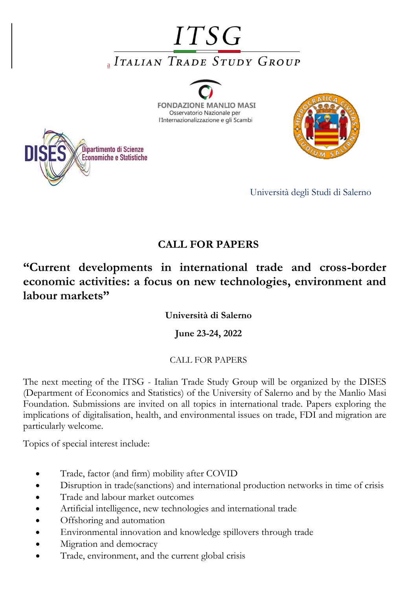## **ITSG AITALIAN TRADE STUDY GROUP**

**FONDAZIONE MANLIO MASI** Osservatorio Nazionale per l'Internazionalizzazione e gli Scambi





## **CALL FOR PAPERS**

## **"Current developments in international trade and cross-border economic activities: a focus on new technologies, environment and labour markets"**

**Università di Salerno**

**June 23-24, 2022**

## CALL FOR PAPERS

The next meeting of the ITSG - Italian Trade Study Group will be organized by the DISES (Department of Economics and Statistics) of the University of Salerno and by the Manlio Masi Foundation. Submissions are invited on all topics in international trade. Papers exploring the implications of digitalisation, health, and environmental issues on trade, FDI and migration are particularly welcome.

Topics of special interest include:

- Trade, factor (and firm) mobility after COVID
- Disruption in trade(sanctions) and international production networks in time of crisis
- Trade and labour market outcomes
- Artificial intelligence, new technologies and international trade
- Offshoring and automation
- Environmental innovation and knowledge spillovers through trade
- Migration and democracy
- Trade, environment, and the current global crisis